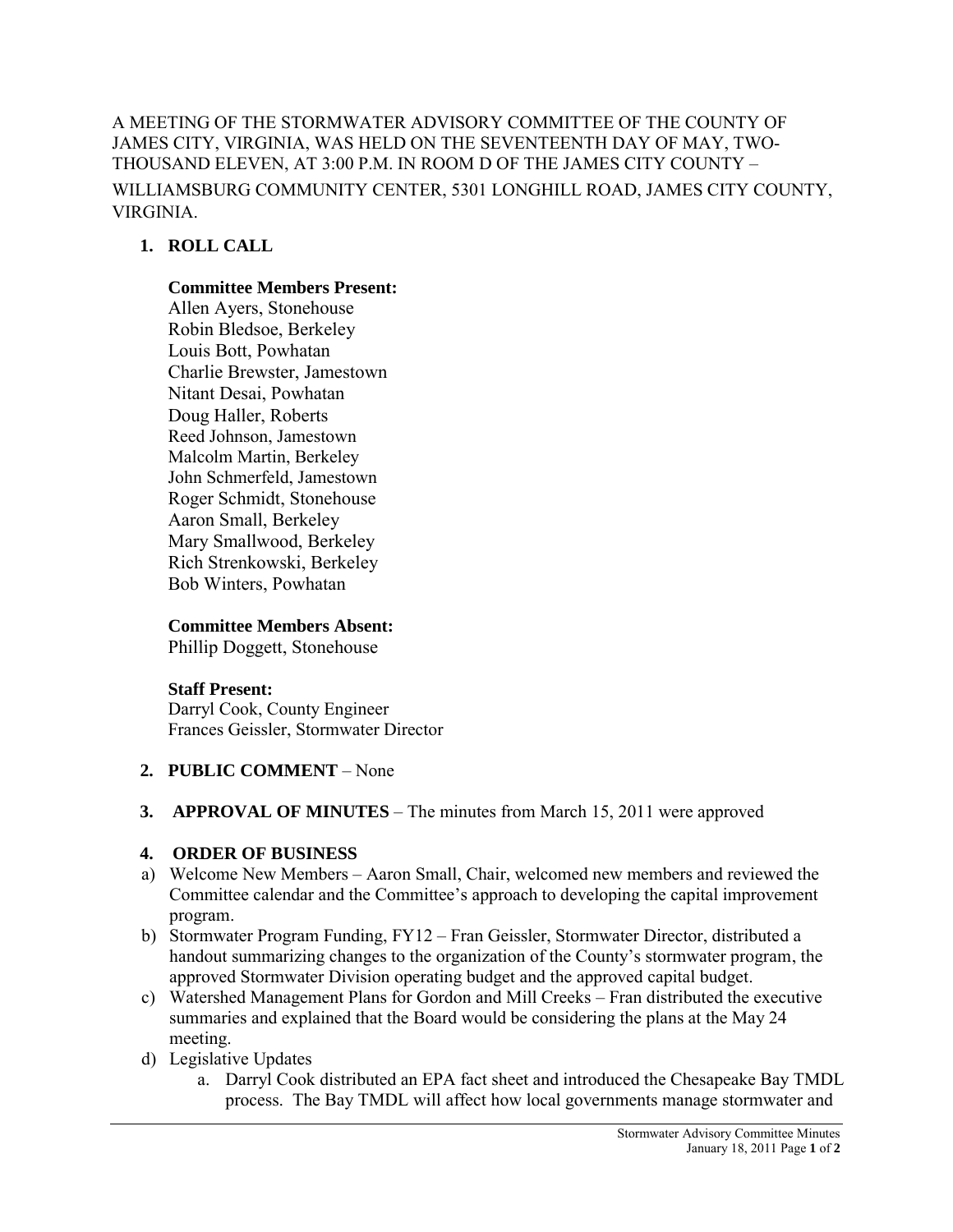A MEETING OF THE STORMWATER ADVISORY COMMITTEE OF THE COUNTY OF JAMES CITY, VIRGINIA, WAS HELD ON THE SEVENTEENTH DAY OF MAY, TWO-THOUSAND ELEVEN, AT 3:00 P.M. IN ROOM D OF THE JAMES CITY COUNTY – WILLIAMSBURG COMMUNITY CENTER, 5301 LONGHILL ROAD, JAMES CITY COUNTY, VIRGINIA.

# **1. ROLL CALL**

### **Committee Members Present:**

Allen Ayers, Stonehouse Robin Bledsoe, Berkeley Louis Bott, Powhatan Charlie Brewster, Jamestown Nitant Desai, Powhatan Doug Haller, Roberts Reed Johnson, Jamestown Malcolm Martin, Berkeley John Schmerfeld, Jamestown Roger Schmidt, Stonehouse Aaron Small, Berkeley Mary Smallwood, Berkeley Rich Strenkowski, Berkeley Bob Winters, Powhatan

### **Committee Members Absent:**

Phillip Doggett, Stonehouse

## **Staff Present:**

Darryl Cook, County Engineer Frances Geissler, Stormwater Director

## **2. PUBLIC COMMENT** – None

**3. APPROVAL OF MINUTES** – The minutes from March 15, 2011 were approved

## **4. ORDER OF BUSINESS**

- a) Welcome New Members Aaron Small, Chair, welcomed new members and reviewed the Committee calendar and the Committee's approach to developing the capital improvement program.
- b) Stormwater Program Funding, FY12 Fran Geissler, Stormwater Director, distributed a handout summarizing changes to the organization of the County's stormwater program, the approved Stormwater Division operating budget and the approved capital budget.
- c) Watershed Management Plans for Gordon and Mill Creeks Fran distributed the executive summaries and explained that the Board would be considering the plans at the May 24 meeting.
- d) Legislative Updates
	- a. Darryl Cook distributed an EPA fact sheet and introduced the Chesapeake Bay TMDL process. The Bay TMDL will affect how local governments manage stormwater and